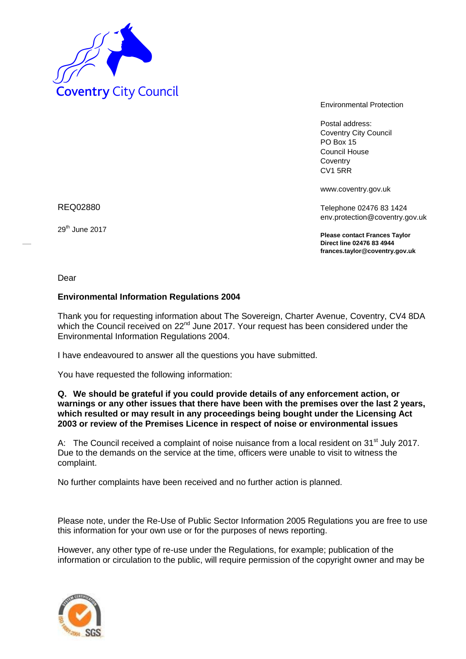

Environmental Protection

Postal address: Coventry City Council PO Box 15 Council House **Coventry** CV1 5RR

www.coventry.gov.uk

Telephone 02476 83 1424 env.protection@coventry.gov.uk

**Please contact Frances Taylor Direct line 02476 83 4944 frances.taylor@coventry.gov.uk**

REQ02880

29<sup>th</sup> June 2017

Dear

## **Environmental Information Regulations 2004**

Thank you for requesting information about The Sovereign, Charter Avenue, Coventry, CV4 8DA which the Council received on 22<sup>nd</sup> June 2017. Your request has been considered under the Environmental Information Regulations 2004.

I have endeavoured to answer all the questions you have submitted.

You have requested the following information:

## **Q. We should be grateful if you could provide details of any enforcement action, or warnings or any other issues that there have been with the premises over the last 2 years, which resulted or may result in any proceedings being bought under the Licensing Act 2003 or review of the Premises Licence in respect of noise or environmental issues**

A: The Council received a complaint of noise nuisance from a local resident on 31<sup>st</sup> July 2017. Due to the demands on the service at the time, officers were unable to visit to witness the complaint.

No further complaints have been received and no further action is planned.

Please note, under the Re-Use of Public Sector Information 2005 Regulations you are free to use this information for your own use or for the purposes of news reporting.

However, any other type of re-use under the Regulations, for example; publication of the information or circulation to the public, will require permission of the copyright owner and may be